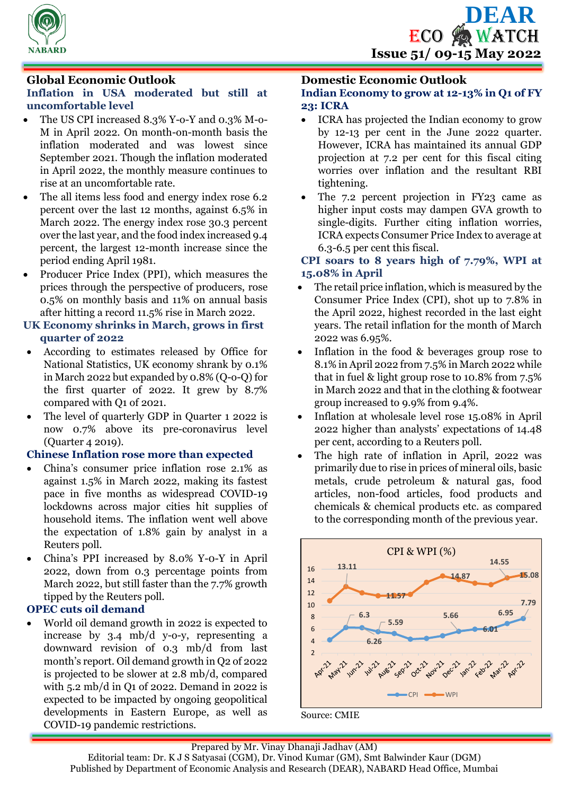

# **Global Economic Outlook**

## **Inflation in USA moderated but still at uncomfortable level**

- The US CPI increased 8.3% Y-o-Y and 0.3% M-o-M in April 2022. On month-on-month basis the inflation moderated and was lowest since September 2021. Though the inflation moderated in April 2022, the monthly measure continues to rise at an uncomfortable rate.
- The all items less food and energy index rose 6.2 percent over the last 12 months, against 6.5% in March 2022. The energy index rose 30.3 percent over the last year, and the food index increased 9.4 percent, the largest 12-month increase since the period ending April 1981.
- Producer Price Index (PPI), which measures the prices through the perspective of producers, rose 0.5% on monthly basis and 11% on annual basis after hitting a record 11.5% rise in March 2022.

#### **UK Economy shrinks in March, grows in first quarter of 2022**

- According to estimates released by Office for National Statistics, UK economy shrank by 0.1% in March 2022 but expanded by 0.8% (Q-o-Q) for the first quarter of 2022. It grew by 8.7% compared with Q1 of 2021.
- The level of quarterly GDP in Quarter 1 2022 is now 0.7% above its pre-coronavirus level (Quarter 4 2019).

## **Chinese Inflation rose more than expected**

- China's consumer price inflation rose 2.1% as against 1.5% in March 2022, making its fastest pace in five months as widespread COVID-19 lockdowns across major cities hit supplies of household items. The inflation went well above the expectation of 1.8% gain by analyst in a Reuters poll.
- China's PPI increased by 8.0% Y-0-Y in April 2022, down from 0.3 percentage points from March 2022, but still faster than the 7.7% growth tipped by the Reuters poll.

## **OPEC cuts oil demand**

 World oil demand growth in 2022 is expected to increase by 3.4 mb/d y-o-y, representing a downward revision of 0.3 mb/d from last month's report. Oil demand growth in Q2 of 2022 is projected to be slower at 2.8 mb/d, compared with 5.2 mb/d in Q1 of 2022. Demand in 2022 is expected to be impacted by ongoing geopolitical developments in Eastern Europe, as well as COVID-19 pandemic restrictions.

# **Domestic Economic Outlook**

#### **Indian Economy to grow at 12-13% in Q1 of FY 23: ICRA**

- ICRA has projected the Indian economy to grow by 12-13 per cent in the June 2022 quarter. However, ICRA has maintained its annual GDP projection at 7.2 per cent for this fiscal citing worries over inflation and the resultant RBI tightening.
- The 7.2 percent projection in FY23 came as higher input costs may dampen GVA growth to single-digits. Further citing inflation worries, ICRA expects Consumer Price Index to average at 6.3-6.5 per cent this fiscal.

#### **CPI soars to 8 years high of 7.79%, WPI at 15.08% in April**

- The retail price inflation, which is measured by the Consumer Price Index (CPI), shot up to 7.8% in the April 2022, highest recorded in the last eight years. The retail inflation for the month of March 2022 was 6.95%.
- Inflation in the food & beverages group rose to 8.1% in April 2022 from 7.5% in March 2022 while that in fuel & light group rose to 10.8% from 7.5% in March 2022 and that in the clothing & footwear group increased to 9.9% from 9.4%.
- Inflation at wholesale level rose 15.08% in April 2022 higher than analysts' expectations of 14.48 per cent, according to a Reuters poll.
- The high rate of inflation in April, 2022 was primarily due to rise in prices of mineral oils, basic metals, crude petroleum & natural gas, food articles, non-food articles, food products and chemicals & chemical products etc. as compared to the corresponding month of the previous year.